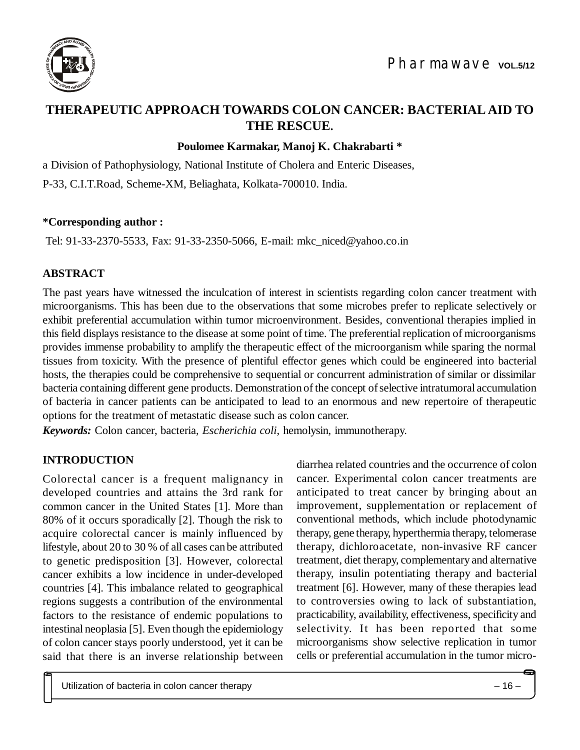

# **THERAPEUTIC APPROACH TOWARDS COLON CANCER: BACTERIAL AID TO THE RESCUE.**

## **Poulomee Karmakar, Manoj K. Chakrabarti \***

a Division of Pathophysiology, National Institute of Cholera and Enteric Diseases,

P-33, C.I.T.Road, Scheme-XM, Beliaghata, Kolkata-700010. India.

#### **\*Corresponding author :**

Tel: 91-33-2370-5533, Fax: 91-33-2350-5066, E-mail: [mkc\\_niced@yahoo.co.in](mailto:mkc_niced:@yahoo.co.in)

### **ABSTRACT**

The past years have witnessed the inculcation of interest in scientists regarding colon cancer treatment with microorganisms. This has been due to the observations that some microbes prefer to replicate selectively or exhibit preferential accumulation within tumor microenvironment. Besides, conventional therapies implied in this field displays resistance to the disease at some point of time. The preferential replication of microorganisms provides immense probability to amplify the therapeutic effect of the microorganism while sparing the normal tissues from toxicity. With the presence of plentiful effector genes which could be engineered into bacterial hosts, the therapies could be comprehensive to sequential or concurrent administration of similar or dissimilar bacteria containing different gene products. Demonstration of the concept of selective intratumoral accumulation of bacteria in cancer patients can be anticipated to lead to an enormous and new repertoire of therapeutic options for the treatment of metastatic disease such as colon cancer.

*Keywords:* Colon cancer, bacteria, *Escherichia coli*, hemolysin, immunotherapy.

### **INTRODUCTION**

Colorectal cancer is a frequent malignancy in developed countries and attains the 3rd rank for common cancer in the United States [1]. More than 80% of it occurs sporadically [2]. Though the risk to acquire colorectal cancer is mainly influenced by lifestyle, about 20 to 30 % of all cases can be attributed to genetic predisposition [3]. However, colorectal cancer exhibits a low incidence in under-developed countries [4]. This imbalance related to geographical regions suggests a contribution of the environmental factors to the resistance of endemic populations to intestinal neoplasia [5]. Even though the epidemiology of colon cancer stays poorly understood, yet it can be said that there is an inverse relationship between diarrhea related countries and the occurrence of colon cancer. Experimental colon cancer treatments are anticipated to treat cancer by bringing about an improvement, supplementation or replacement of conventional methods, which include photodynamic therapy, gene therapy, hyperthermia therapy, telomerase therapy, dichloroacetate, non-invasive RF cancer treatment, diet therapy, complementary and alternative therapy, insulin potentiating therapy and bacterial treatment [6]. However, many of these therapies lead to controversies owing to lack of substantiation, practicability, availability, effectiveness, specificity and selectivity. It has been reported that some microorganisms show selective replication in tumor cells or preferential accumulation in the tumor micro-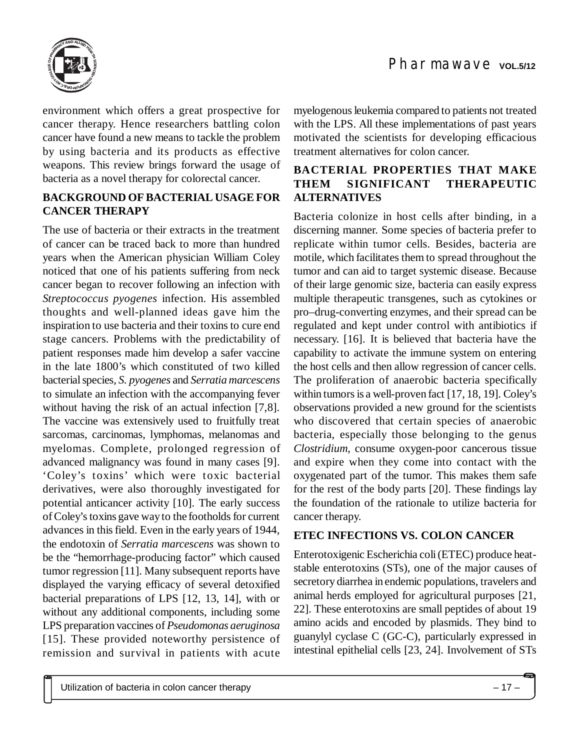



environment which offers a great prospective for cancer therapy. Hence researchers battling colon cancer have found a new means to tackle the problem by using bacteria and its products as effective weapons. This review brings forward the usage of bacteria as a novel therapy for colorectal cancer.

### **BACKGROUND OF BACTERIAL USAGE FOR CANCER THERAPY**

The use of bacteria or their extracts in the treatment of cancer can be traced back to more than hundred years when the American physician William Coley noticed that one of his patients suffering from neck cancer began to recover following an infection with *Streptococcus pyogenes* infection. His assembled thoughts and well-planned ideas gave him the inspiration to use bacteria and their toxins to cure end stage cancers. Problems with the predictability of patient responses made him develop a safer vaccine in the late 1800's which constituted of two killed bacterial species*, S. pyogenes* and *Serratia marcescens* to simulate an infection with the accompanying fever without having the risk of an actual infection [7,8]. The vaccine was extensively used to fruitfully treat sarcomas, carcinomas, lymphomas, melanomas and myelomas. Complete, prolonged regression of advanced malignancy was found in many cases [9]. 'Coley's toxins' which were toxic bacterial derivatives, were also thoroughly investigated for potential anticancer activity [10]. The early success of Coley's toxins gave way to the footholds for current advances in this field. Even in the early years of 1944, the endotoxin of *Serratia marcescens* was shown to be the "hemorrhage-producing factor" which caused tumor regression [11]. Many subsequent reports have displayed the varying efficacy of several detoxified bacterial preparations of LPS [12, 13, 14], with or without any additional components, including some LPS preparation vaccines of *Pseudomonas aeruginosa* [15]. These provided noteworthy persistence of remission and survival in patients with acute

myelogenous leukemia compared to patients not treated with the LPS. All these implementations of past years motivated the scientists for developing efficacious treatment alternatives for colon cancer.

## **BACTERIAL PROPERTIES THAT MAKE THEM SIGNIFICANT THERAPEUTIC ALTERNATIVES**

Bacteria colonize in host cells after binding, in a discerning manner. Some species of bacteria prefer to replicate within tumor cells. Besides, bacteria are motile, which facilitates them to spread throughout the tumor and can aid to target systemic disease. Because of their large genomic size, bacteria can easily express multiple therapeutic transgenes, such as cytokines or pro–drug-converting enzymes, and their spread can be regulated and kept under control with antibiotics if necessary. [16]. It is believed that bacteria have the capability to activate the immune system on entering the host cells and then allow regression of cancer cells. The proliferation of anaerobic bacteria specifically within tumors is a well-proven fact [17, 18, 19]. Coley's observations provided a new ground for the scientists who discovered that certain species of anaerobic bacteria, especially those belonging to the genus *Clostridium*, consume oxygen-poor cancerous tissue and expire when they come into contact with the oxygenated part of the tumor. This makes them safe for the rest of the body parts [20]. These findings lay the foundation of the rationale to utilize bacteria for cancer therapy.

### **ETEC INFECTIONS VS. COLON CANCER**

Enterotoxigenic Escherichia coli (ETEC) produce heatstable enterotoxins (STs), one of the major causes of secretory diarrhea in endemic populations, travelers and animal herds employed for agricultural purposes [21, 22]. These enterotoxins are small peptides of about 19 amino acids and encoded by plasmids. They bind to guanylyl cyclase C (GC-C), particularly expressed in intestinal epithelial cells [23, 24]. Involvement of STs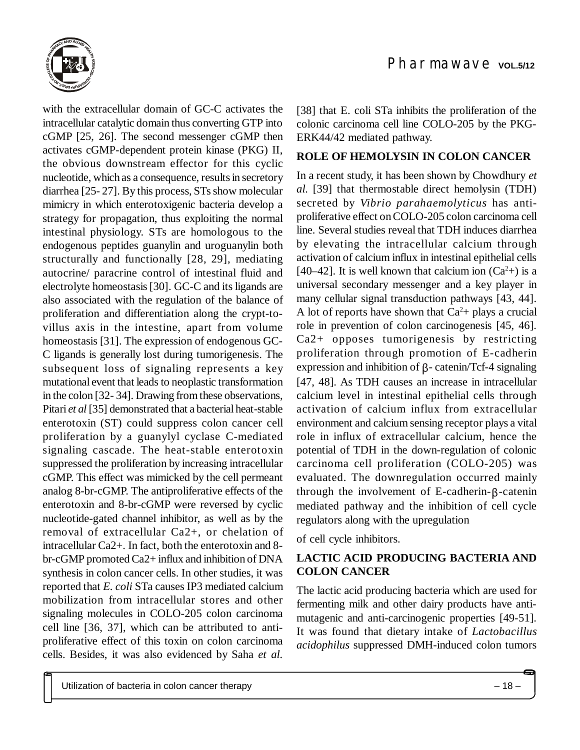

with the extracellular domain of GC-C activates the intracellular catalytic domain thus converting GTP into cGMP [25, 26]. The second messenger cGMP then activates cGMP-dependent protein kinase (PKG) II, the obvious downstream effector for this cyclic nucleotide, which as a consequence, results in secretory diarrhea [25- 27]. By this process, STs show molecular mimicry in which enterotoxigenic bacteria develop a strategy for propagation, thus exploiting the normal intestinal physiology. STs are homologous to the endogenous peptides guanylin and uroguanylin both structurally and functionally [28, 29], mediating autocrine/ paracrine control of intestinal fluid and electrolyte homeostasis [30]. GC-C and its ligands are also associated with the regulation of the balance of proliferation and differentiation along the crypt-tovillus axis in the intestine, apart from volume homeostasis [31]. The expression of endogenous GC-C ligands is generally lost during tumorigenesis. The subsequent loss of signaling represents a key mutational event that leads to neoplastic transformation in the colon [32- 34]. Drawing from these observations, Pitari *et al* [35] demonstrated that a bacterial heat-stable enterotoxin (ST) could suppress colon cancer cell proliferation by a guanylyl cyclase C-mediated signaling cascade. The heat-stable enterotoxin suppressed the proliferation by increasing intracellular cGMP. This effect was mimicked by the cell permeant analog 8-br-cGMP. The antiproliferative effects of the enterotoxin and 8-br-cGMP were reversed by cyclic nucleotide-gated channel inhibitor, as well as by the removal of extracellular Ca2+, or chelation of intracellular Ca2+. In fact, both the enterotoxin and 8 br-cGMP promoted Ca2+ influx and inhibition of DNA synthesis in colon cancer cells. In other studies, it was reported that *E. coli* STa causes IP3 mediated calcium mobilization from intracellular stores and other signaling molecules in COLO-205 colon carcinoma cell line [36, 37], which can be attributed to antiproliferative effect of this toxin on colon carcinoma cells. Besides, it was also evidenced by Saha *et al.*

[38] that E. coli STa inhibits the proliferation of the colonic carcinoma cell line COLO-205 by the PKG-ERK44/42 mediated pathway.

### **ROLE OF HEMOLYSIN IN COLON CANCER**

In a recent study, it has been shown by Chowdhury *et al.* [39] that thermostable direct hemolysin (TDH) secreted by *Vibrio parahaemolyticus* has antiproliferative effect on COLO-205 colon carcinoma cell line. Several studies reveal that TDH induces diarrhea by elevating the intracellular calcium through activation of calcium influx in intestinal epithelial cells [40–42]. It is well known that calcium ion  $(Ca<sup>2</sup>+)$  is a universal secondary messenger and a key player in many cellular signal transduction pathways [43, 44]. A lot of reports have shown that  $Ca<sup>2</sup>$ + plays a crucial role in prevention of colon carcinogenesis [45, 46]. Ca2+ opposes tumorigenesis by restricting proliferation through promotion of E-cadherin expression and inhibition of  $\beta$ - catenin/Tcf-4 signaling [47, 48]. As TDH causes an increase in intracellular calcium level in intestinal epithelial cells through activation of calcium influx from extracellular environment and calcium sensing receptor plays a vital role in influx of extracellular calcium, hence the potential of TDH in the down-regulation of colonic carcinoma cell proliferation (COLO-205) was evaluated. The downregulation occurred mainly through the involvement of E-cadherin- $\beta$ -catenin mediated pathway and the inhibition of cell cycle regulators along with the upregulation

of cell cycle inhibitors.

## **LACTIC ACID PRODUCING BACTERIA AND COLON CANCER**

The lactic acid producing bacteria which are used for fermenting milk and other dairy products have antimutagenic and anti-carcinogenic properties [49-51]. It was found that dietary intake of *Lactobacillus acidophilus* suppressed DMH-induced colon tumors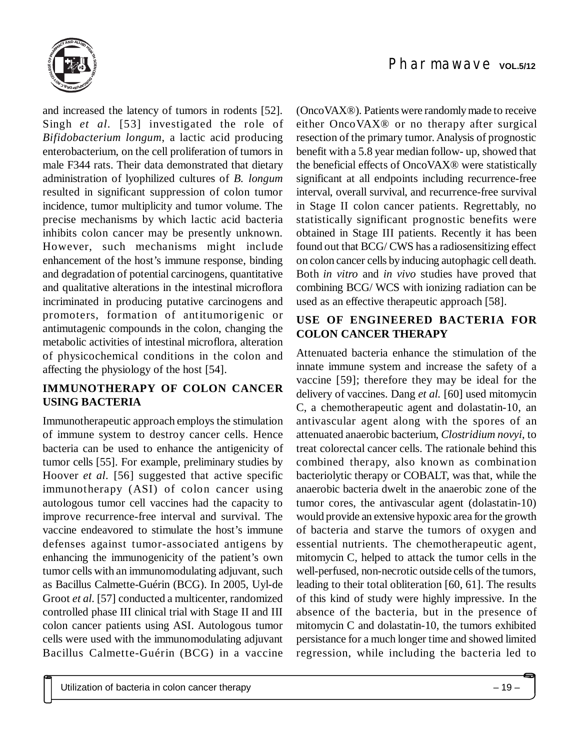

and increased the latency of tumors in rodents [52]. Singh *et al.* [53] investigated the role of *Bifidobacterium longum*, a lactic acid producing enterobacterium, on the cell proliferation of tumors in male F344 rats. Their data demonstrated that dietary administration of lyophilized cultures of *B. longum* resulted in significant suppression of colon tumor incidence, tumor multiplicity and tumor volume. The precise mechanisms by which lactic acid bacteria inhibits colon cancer may be presently unknown. However, such mechanisms might include enhancement of the host's immune response, binding and degradation of potential carcinogens, quantitative and qualitative alterations in the intestinal microflora incriminated in producing putative carcinogens and promoters, formation of antitumorigenic or antimutagenic compounds in the colon, changing the metabolic activities of intestinal microflora, alteration of physicochemical conditions in the colon and affecting the physiology of the host [54].

# **IMMUNOTHERAPY OF COLON CANCER USING BACTERIA**

Immunotherapeutic approach employs the stimulation of immune system to destroy cancer cells. Hence bacteria can be used to enhance the antigenicity of tumor cells [55]. For example, preliminary studies by Hoover *et al.* [56] suggested that active specific immunotherapy (ASI) of colon cancer using autologous tumor cell vaccines had the capacity to improve recurrence-free interval and survival. The vaccine endeavored to stimulate the host's immune defenses against tumor-associated antigens by enhancing the immunogenicity of the patient's own tumor cells with an immunomodulating adjuvant, such as Bacillus Calmette-Guérin (BCG). In 2005, Uyl-de Groot *et al.* [57] conducted a multicenter, randomized controlled phase III clinical trial with Stage II and III colon cancer patients using ASI. Autologous tumor cells were used with the immunomodulating adjuvant Bacillus Calmette-Guérin (BCG) in a vaccine (OncoVAX®). Patients were randomly made to receive either OncoVAX® or no therapy after surgical resection of the primary tumor. Analysis of prognostic benefit with a 5.8 year median follow- up, showed that the beneficial effects of OncoVAX® were statistically significant at all endpoints including recurrence-free interval, overall survival, and recurrence-free survival in Stage II colon cancer patients. Regrettably, no statistically significant prognostic benefits were obtained in Stage III patients. Recently it has been found out that BCG/ CWS has a radiosensitizing effect on colon cancer cells by inducing autophagic cell death. Both *in vitro* and *in vivo* studies have proved that combining BCG/ WCS with ionizing radiation can be used as an effective therapeutic approach [58].

## **USE OF ENGINEERED BACTERIA FOR COLON CANCER THERAPY**

Attenuated bacteria enhance the stimulation of the innate immune system and increase the safety of a vaccine [59]; therefore they may be ideal for the delivery of vaccines. Dang *et al.* [60] used mitomycin C, a chemotherapeutic agent and dolastatin-10, an antivascular agent along with the spores of an attenuated anaerobic bacterium, *Clostridium novyi*, to treat colorectal cancer cells. The rationale behind this combined therapy, also known as combination bacteriolytic therapy or COBALT, was that, while the anaerobic bacteria dwelt in the anaerobic zone of the tumor cores, the antivascular agent (dolastatin-10) would provide an extensive hypoxic area for the growth of bacteria and starve the tumors of oxygen and essential nutrients. The chemotherapeutic agent, mitomycin C, helped to attack the tumor cells in the well-perfused, non-necrotic outside cells of the tumors, leading to their total obliteration [60, 61]. The results of this kind of study were highly impressive. In the absence of the bacteria, but in the presence of mitomycin C and dolastatin-10, the tumors exhibited persistance for a much longer time and showed limited regression, while including the bacteria led to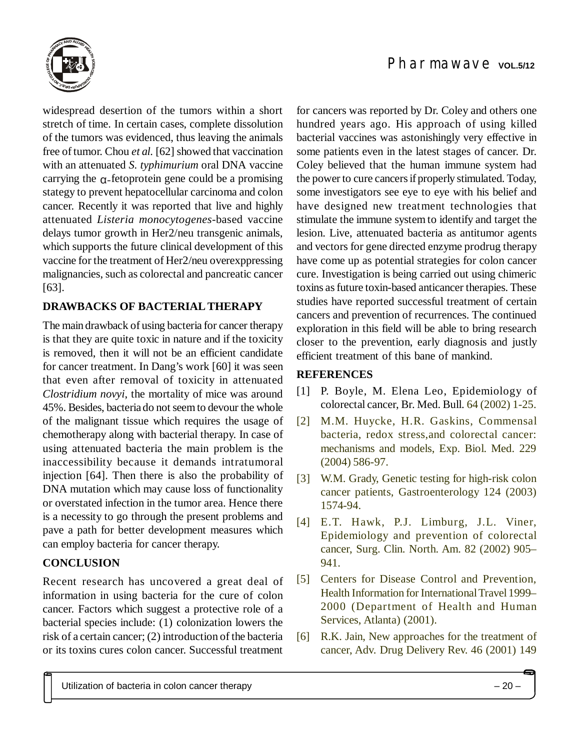

widespread desertion of the tumors within a short stretch of time. In certain cases, complete dissolution of the tumors was evidenced, thus leaving the animals free of tumor. Chou *et al.* [62] showed that vaccination with an attenuated *S. typhimurium* oral DNA vaccine carrying the  $\alpha$ -fetoprotein gene could be a promising stategy to prevent hepatocellular carcinoma and colon cancer. Recently it was reported that live and highly attenuated *Listeria monocytogenes*-based vaccine delays tumor growth in Her2/neu transgenic animals, which supports the future clinical development of this vaccine for the treatment of Her2/neu overexppressing malignancies, such as colorectal and pancreatic cancer [63].

# **DRAWBACKS OF BACTERIAL THERAPY**

The main drawback of using bacteria for cancer therapy is that they are quite toxic in nature and if the toxicity is removed, then it will not be an efficient candidate for cancer treatment. In Dang's work [60] it was seen that even after removal of toxicity in attenuated *Clostridium novyi*, the mortality of mice was around 45%. Besides, bacteria do not seem to devour the whole of the malignant tissue which requires the usage of chemotherapy along with bacterial therapy. In case of using attenuated bacteria the main problem is the inaccessibility because it demands intratumoral injection [64]. Then there is also the probability of DNA mutation which may cause loss of functionality or overstated infection in the tumor area. Hence there is a necessity to go through the present problems and pave a path for better development measures which can employ bacteria for cancer therapy.

# **CONCLUSION**

Recent research has uncovered a great deal of information in using bacteria for the cure of colon cancer. Factors which suggest a protective role of a bacterial species include: (1) colonization lowers the risk of a certain cancer; (2) introduction of the bacteria or its toxins cures colon cancer. Successful treatment for cancers was reported by Dr. Coley and others one hundred years ago. His approach of using killed bacterial vaccines was astonishingly very effective in some patients even in the latest stages of cancer. Dr. Coley believed that the human immune system had the power to cure cancers if properly stimulated. Today, some investigators see eye to eye with his belief and have designed new treatment technologies that stimulate the immune system to identify and target the lesion. Live, attenuated bacteria as antitumor agents and vectors for gene directed enzyme prodrug therapy have come up as potential strategies for colon cancer cure. Investigation is being carried out using chimeric toxins as future toxin-based anticancer therapies. These studies have reported successful treatment of certain cancers and prevention of recurrences. The continued exploration in this field will be able to bring research closer to the prevention, early diagnosis and justly efficient treatment of this bane of mankind.

# **REFERENCES**

- [1] P. Boyle, M. Elena Leo, Epidemiology of colorectal cancer, Br. Med. Bull. 64 (2002) 1-25.
- [2] M.M. Huycke, H.R. Gaskins, Commensal bacteria, redox stress,and colorectal cancer: mechanisms and models, Exp. Biol. Med. 229 (2004) 586-97.
- [3] W.M. Grady, Genetic testing for high-risk colon cancer patients, Gastroenterology 124 (2003) 1574-94.
- [4] E.T. Hawk, P.J. Limburg, J.L. Viner, Epidemiology and prevention of colorectal cancer, Surg. Clin. North. Am. 82 (2002) 905– 941.
- [5] Centers for Disease Control and Prevention, Health Information for International Travel 1999– 2000 (Department of Health and Human Services, Atlanta) (2001).
- [6] R.K. Jain, New approaches for the treatment of cancer, Adv. Drug Delivery Rev. 46 (2001) 149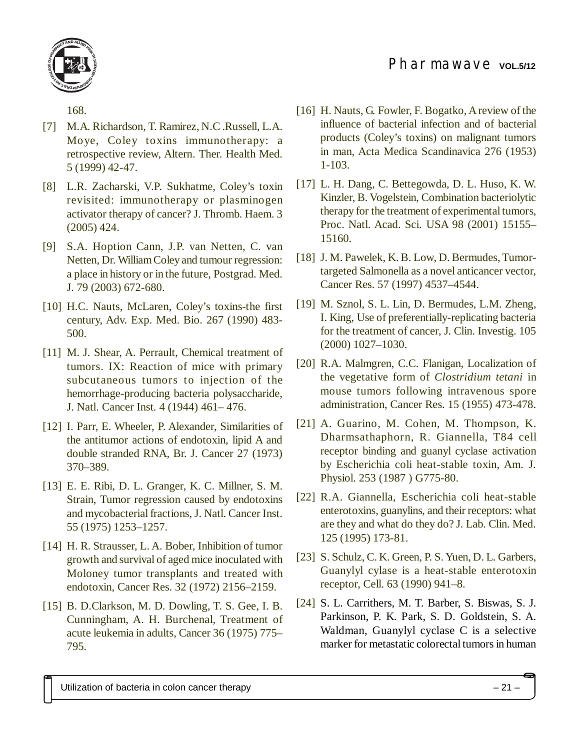

168.

- [7] M.A. Richardson, T. Ramirez, N.C .Russell, L.A. Moye, Coley toxins immunotherapy: a retrospective review, Altern. Ther. Health Med. 5 (1999) 42-47.
- [8] L.R. Zacharski, V.P. Sukhatme, Coley's toxin revisited: immunotherapy or plasminogen activator therapy of cancer? J. Thromb. Haem. 3 (2005) 424.
- [9] S.A. Hoption Cann, J.P. van Netten, C. van Netten, Dr. William Coley and tumour regression: a place in history or in the future, Postgrad. Med. J. 79 (2003) 672-680.
- [10] H.C. Nauts, McLaren, Coley's toxins-the first century, Adv. Exp. Med. Bio. 267 (1990) 483- 500.
- [11] M. J. Shear, A. Perrault, Chemical treatment of tumors. IX: Reaction of mice with primary subcutaneous tumors to injection of the hemorrhage-producing bacteria polysaccharide, J. Natl. Cancer Inst. 4 (1944) 461– 476.
- [12] I. Parr, E. Wheeler, P. Alexander, Similarities of the antitumor actions of endotoxin, lipid A and double stranded RNA, Br. J. Cancer 27 (1973) 370–389.
- [13] E. E. Ribi, D. L. Granger, K. C. Millner, S. M. Strain, Tumor regression caused by endotoxins and mycobacterial fractions, J. Natl. Cancer Inst. 55 (1975) 1253–1257.
- [14] H. R. Strausser, L. A. Bober, Inhibition of tumor growth and survival of aged mice inoculated with Moloney tumor transplants and treated with endotoxin, Cancer Res. 32 (1972) 2156–2159.
- [15] B. D.Clarkson, M. D. Dowling, T. S. Gee, I. B. Cunningham, A. H. Burchenal, Treatment of acute leukemia in adults, Cancer 36 (1975) 775– 795.
- [16] H. Nauts, G. Fowler, F. Bogatko, A review of the influence of bacterial infection and of bacterial products (Coley's toxins) on malignant tumors in man, Acta Medica Scandinavica 276 (1953) 1-103.
- [17] L. H. Dang, C. Bettegowda, D. L. Huso, K. W. Kinzler, B. Vogelstein, Combination bacteriolytic therapy for the treatment of experimental tumors, Proc. Natl. Acad. Sci. USA 98 (2001) 15155– 15160.
- [18] J. M. Pawelek, K. B. Low, D. Bermudes, Tumortargeted Salmonella as a novel anticancer vector, Cancer Res. 57 (1997) 4537–4544.
- [19] M. Sznol, S. L. Lin, D. Bermudes, L.M. Zheng, I. King, Use of preferentially-replicating bacteria for the treatment of cancer, J. Clin. Investig. 105 (2000) 1027–1030.
- [20] R.A. Malmgren, C.C. Flanigan, Localization of the vegetative form of *Clostridium tetani* in mouse tumors following intravenous spore administration, Cancer Res. 15 (1955) 473-478.
- [21] A. Guarino, M. Cohen, M. Thompson, K. Dharmsathaphorn, R. Giannella, T84 cell receptor binding and guanyl cyclase activation by Escherichia coli heat-stable toxin, Am. J. Physiol. 253 (1987 ) G775-80.
- [22] R.A. Giannella, Escherichia coli heat-stable enterotoxins, guanylins, and their receptors: what are they and what do they do? J. Lab. Clin. Med. 125 (1995) 173-81.
- [23] S. Schulz, C. K. Green, P. S. Yuen, D. L. Garbers, Guanylyl cylase is a heat-stable enterotoxin receptor, Cell. 63 (1990) 941–8.
- [24] S. L. Carrithers, M. T. Barber, S. Biswas, S. J. Parkinson, P. K. Park, S. D. Goldstein, S. A. Waldman, Guanylyl cyclase C is a selective marker for metastatic colorectal tumors in human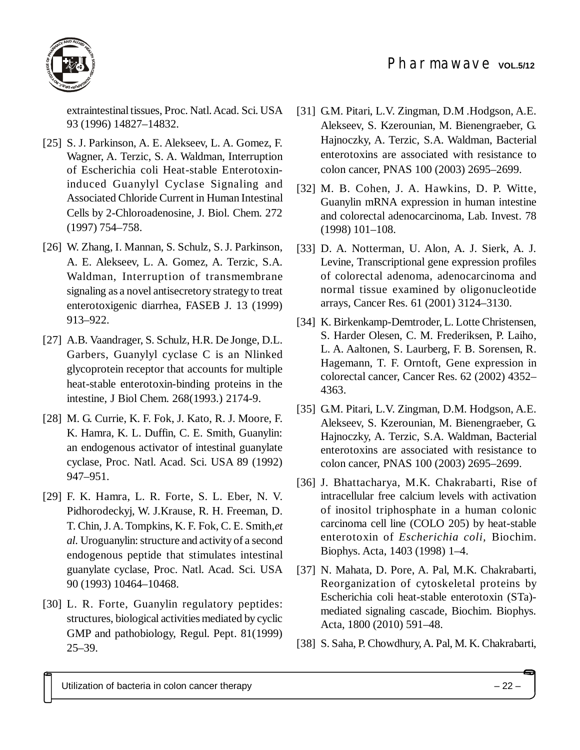

extraintestinal tissues, Proc. Natl. Acad. Sci. USA 93 (1996) 14827–14832.

- [25] S. J. Parkinson, A. E. Alekseev, L. A. Gomez, F. Wagner, A. Terzic, S. A. Waldman, Interruption of Escherichia coli Heat-stable Enterotoxininduced Guanylyl Cyclase Signaling and Associated Chloride Current in Human Intestinal Cells by 2-Chloroadenosine, J. Biol. Chem. 272 (1997) 754–758.
- [26] W. Zhang, I. Mannan, S. Schulz, S. J. Parkinson, A. E. Alekseev, L. A. Gomez, A. Terzic, S.A. Waldman, Interruption of transmembrane signaling as a novel antisecretory strategy to treat enterotoxigenic diarrhea, FASEB J. 13 (1999) 913–922.
- [27] A.B. Vaandrager, S. Schulz, H.R. De Jonge, D.L. Garbers, Guanylyl cyclase C is an Nlinked glycoprotein receptor that accounts for multiple heat-stable enterotoxin-binding proteins in the intestine, J Biol Chem. 268(1993.) 2174-9.
- [28] M. G. Currie, K. F. Fok, J. Kato, R. J. Moore, F. K. Hamra, K. L. Duffin, C. E. Smith, Guanylin: an endogenous activator of intestinal guanylate cyclase, Proc. Natl. Acad. Sci. USA 89 (1992) 947–951.
- [29] F. K. Hamra, L. R. Forte, S. L. Eber, N. V. Pidhorodeckyj, W. J.Krause, R. H. Freeman, D. T. Chin, J. A. Tompkins, K. F. Fok, C. E. Smith,*et al.* Uroguanylin: structure and activity of a second endogenous peptide that stimulates intestinal guanylate cyclase, Proc. Natl. Acad. Sci. USA 90 (1993) 10464–10468.
- [30] L. R. Forte, Guanylin regulatory peptides: structures, biological activities mediated by cyclic GMP and pathobiology, Regul. Pept. 81(1999) 25–39.
- [31] G.M. Pitari, L.V. Zingman, D.M. Hodgson, A.E. Alekseev, S. Kzerounian, M. Bienengraeber, G. Hajnoczky, A. Terzic, S.A. Waldman, Bacterial enterotoxins are associated with resistance to colon cancer, PNAS 100 (2003) 2695–2699.
- [32] M. B. Cohen, J. A. Hawkins, D. P. Witte, Guanylin mRNA expression in human intestine and colorectal adenocarcinoma, Lab. Invest. 78 (1998) 101–108.
- [33] D. A. Notterman, U. Alon, A. J. Sierk, A. J. Levine, Transcriptional gene expression profiles of colorectal adenoma, adenocarcinoma and normal tissue examined by oligonucleotide arrays, Cancer Res. 61 (2001) 3124–3130.
- [34] K. Birkenkamp-Demtroder, L. Lotte Christensen, S. Harder Olesen, C. M. Frederiksen, P. Laiho, L. A. Aaltonen, S. Laurberg, F. B. Sorensen, R. Hagemann, T. F. Orntoft, Gene expression in colorectal cancer, Cancer Res. 62 (2002) 4352– 4363.
- [35] G.M. Pitari, L.V. Zingman, D.M. Hodgson, A.E. Alekseev, S. Kzerounian, M. Bienengraeber, G. Hajnoczky, A. Terzic, S.A. Waldman, Bacterial enterotoxins are associated with resistance to colon cancer, PNAS 100 (2003) 2695–2699.
- [36] J. Bhattacharya, M.K. Chakrabarti, Rise of intracellular free calcium levels with activation of inositol triphosphate in a human colonic carcinoma cell line (COLO 205) by heat-stable enterotoxin of *Escherichia coli,* Biochim. Biophys. Acta, 1403 (1998) 1–4.
- [37] N. Mahata, D. Pore, A. Pal, M.K. Chakrabarti, Reorganization of cytoskeletal proteins by Escherichia coli heat-stable enterotoxin (STa) mediated signaling cascade, Biochim. Biophys. Acta, 1800 (2010) 591–48.
- [38] S. Saha, P. Chowdhury, A. Pal, M. K. Chakrabarti,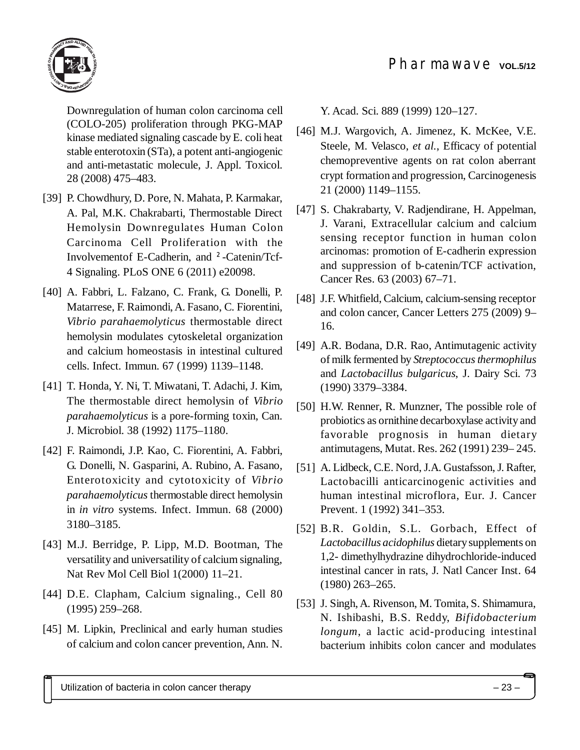

Downregulation of human colon carcinoma cell (COLO-205) proliferation through PKG-MAP kinase mediated signaling cascade by E. coli heat stable enterotoxin (STa), a potent anti-angiogenic and anti-metastatic molecule, J. Appl. Toxicol. 28 (2008) 475–483.

- [39] P. Chowdhury, D. Pore, N. Mahata, P. Karmakar, A. Pal, M.K. Chakrabarti, Thermostable Direct Hemolysin Downregulates Human Colon Carcinoma Cell Proliferation with the Involvementof E-Cadherin, and ²-Catenin/Tcf-4 Signaling. PLoS ONE 6 (2011) e20098.
- [40] A. Fabbri, L. Falzano, C. Frank, G. Donelli, P. Matarrese, F. Raimondi, A. Fasano, C. Fiorentini, *Vibrio parahaemolyticus* thermostable direct hemolysin modulates cytoskeletal organization and calcium homeostasis in intestinal cultured cells. Infect. Immun. 67 (1999) 1139–1148.
- [41] T. Honda, Y. Ni, T. Miwatani, T. Adachi, J. Kim, The thermostable direct hemolysin of *Vibrio parahaemolyticus* is a pore-forming toxin, Can. J. Microbiol. 38 (1992) 1175–1180.
- [42] F. Raimondi, J.P. Kao, C. Fiorentini, A. Fabbri, G. Donelli, N. Gasparini, A. Rubino, A. Fasano, Enterotoxicity and cytotoxicity of *Vibrio parahaemolyticus* thermostable direct hemolysin in *in vitro* systems. Infect. Immun. 68 (2000) 3180–3185.
- [43] M.J. Berridge, P. Lipp, M.D. Bootman, The versatility and universatility of calcium signaling, Nat Rev Mol Cell Biol 1(2000) 11–21.
- [44] D.E. Clapham, Calcium signaling., Cell 80 (1995) 259–268.
- [45] M. Lipkin, Preclinical and early human studies of calcium and colon cancer prevention, Ann. N.

Y. Acad. Sci. 889 (1999) 120–127.

- [46] M.J. Wargovich, A. Jimenez, K. McKee, V.E. Steele, M. Velasco, *et al.*, Efficacy of potential chemopreventive agents on rat colon aberrant crypt formation and progression, Carcinogenesis 21 (2000) 1149–1155.
- [47] S. Chakrabarty, V. Radjendirane, H. Appelman, J. Varani, Extracellular calcium and calcium sensing receptor function in human colon arcinomas: promotion of E-cadherin expression and suppression of b-catenin/TCF activation, Cancer Res. 63 (2003) 67–71.
- [48] J.F. Whitfield, Calcium, calcium-sensing receptor and colon cancer, Cancer Letters 275 (2009) 9– 16.
- [49] A.R. Bodana, D.R. Rao, Antimutagenic activity of milk fermented by *Streptococcus thermophilus* and *Lactobacillus bulgaricus*, J. Dairy Sci. 73 (1990) 3379–3384.
- [50] H.W. Renner, R. Munzner, The possible role of probiotics as ornithine decarboxylase activity and favorable prognosis in human dietary antimutagens, Mutat. Res. 262 (1991) 239– 245.
- [51] A. Lidbeck, C.E. Nord, J.A. Gustafsson, J. Rafter, Lactobacilli anticarcinogenic activities and human intestinal microflora, Eur. J. Cancer Prevent. 1 (1992) 341–353.
- [52] B.R. Goldin, S.L. Gorbach, Effect of *Lactobacillus acidophilus* dietary supplements on 1,2- dimethylhydrazine dihydrochloride-induced intestinal cancer in rats, J. Natl Cancer Inst. 64 (1980) 263–265.
- [53] J. Singh, A. Rivenson, M. Tomita, S. Shimamura, N. Ishibashi, B.S. Reddy, *Bifidobacterium longum*, a lactic acid-producing intestinal bacterium inhibits colon cancer and modulates